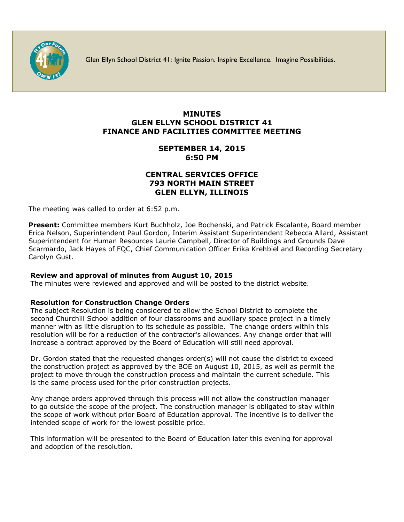

Glen Ellyn School District 41: Ignite Passion. Inspire Excellence. Imagine Possibilities.

# **MINUTES GLEN ELLYN SCHOOL DISTRICT 41 FINANCE AND FACILITIES COMMITTEE MEETING**

# **SEPTEMBER 14, 2015 6:50 PM**

## **CENTRAL SERVICES OFFICE 793 NORTH MAIN STREET GLEN ELLYN, ILLINOIS**

The meeting was called to order at 6:52 p.m.

**Present:** Committee members Kurt Buchholz, Joe Bochenski, and Patrick Escalante, Board member Erica Nelson, Superintendent Paul Gordon, Interim Assistant Superintendent Rebecca Allard, Assistant Superintendent for Human Resources Laurie Campbell, Director of Buildings and Grounds Dave Scarmardo, Jack Hayes of FQC, Chief Communication Officer [Erika Krehbiel](http://www.d41.org/contact_email.asp?id=ekrehbiel&n=Erika_Krehbiel) and Recording Secretary Carolyn Gust.

## **Review and approval of minutes from August 10, 2015**

The minutes were reviewed and approved and will be posted to the district website.

#### **Resolution for Construction Change Orders**

The subject Resolution is being considered to allow the School District to complete the second Churchill School addition of four classrooms and auxiliary space project in a timely manner with as little disruption to its schedule as possible. The change orders within this resolution will be for a reduction of the contractor's allowances. Any change order that will increase a contract approved by the Board of Education will still need approval.

Dr. Gordon stated that the requested changes order(s) will not cause the district to exceed the construction project as approved by the BOE on August 10, 2015, as well as permit the project to move through the construction process and maintain the current schedule. This is the same process used for the prior construction projects.

Any change orders approved through this process will not allow the construction manager to go outside the scope of the project. The construction manager is obligated to stay within the scope of work without prior Board of Education approval. The incentive is to deliver the intended scope of work for the lowest possible price.

This information will be presented to the Board of Education later this evening for approval and adoption of the resolution.